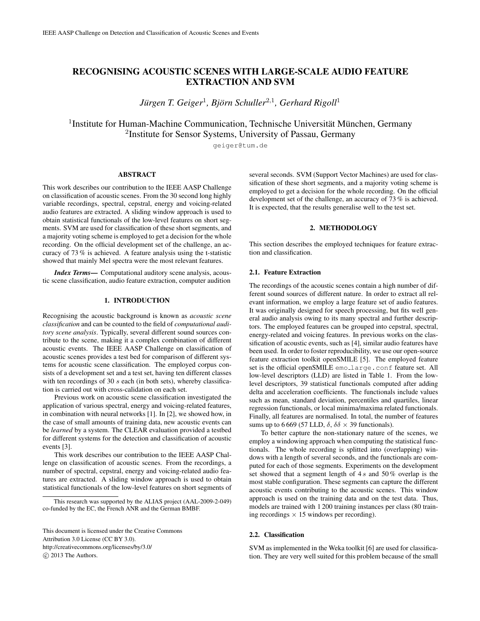# RECOGNISING ACOUSTIC SCENES WITH LARGE-SCALE AUDIO FEATURE EXTRACTION AND SVM

Jürgen T. Geiger<sup>1</sup>, Björn Schuller<sup>2,1</sup>, Gerhard Rigoll<sup>1</sup>

<sup>1</sup>Institute for Human-Machine Communication, Technische Universität München, Germany <sup>2</sup>Institute for Sensor Systems, University of Passau, Germany

geiger@tum.de

# ABSTRACT

This work describes our contribution to the IEEE AASP Challenge on classification of acoustic scenes. From the 30 second long highly variable recordings, spectral, cepstral, energy and voicing-related audio features are extracted. A sliding window approach is used to obtain statistical functionals of the low-level features on short segments. SVM are used for classification of these short segments, and a majority voting scheme is employed to get a decision for the whole recording. On the official development set of the challenge, an accuracy of 73 % is achieved. A feature analysis using the t-statistic showed that mainly Mel spectra were the most relevant features.

*Index Terms*— Computational auditory scene analysis, acoustic scene classification, audio feature extraction, computer audition

#### 1. INTRODUCTION

Recognising the acoustic background is known as *acoustic scene classification* and can be counted to the field of *computational auditory scene analysis*. Typically, several different sound sources contribute to the scene, making it a complex combination of different acoustic events. The IEEE AASP Challenge on classification of acoustic scenes provides a test bed for comparison of different systems for acoustic scene classification. The employed corpus consists of a development set and a test set, having ten different classes with ten recordings of 30  $s$  each (in both sets), whereby classification is carried out with cross-calidation on each set.

Previous work on acoustic scene classification investigated the application of various spectral, energy and voicing-related features, in combination with neural networks [1]. In [2], we showed how, in the case of small amounts of training data, new acoustic events can be *learned* by a system. The CLEAR evaluation provided a testbed for different systems for the detection and classification of acoustic events [3].

This work describes our contribution to the IEEE AASP Challenge on classification of acoustic scenes. From the recordings, a number of spectral, cepstral, energy and voicing-related audio features are extracted. A sliding window approach is used to obtain statistical functionals of the low-level features on short segments of

several seconds. SVM (Support Vector Machines) are used for classification of these short segments, and a majority voting scheme is employed to get a decision for the whole recording. On the official development set of the challenge, an accuracy of 73 % is achieved. It is expected, that the results generalise well to the test set.

# 2. METHODOLOGY

This section describes the employed techniques for feature extraction and classification.

# 2.1. Feature Extraction

The recordings of the acoustic scenes contain a high number of different sound sources of different nature. In order to extract all relevant information, we employ a large feature set of audio features. It was originally designed for speech processing, but fits well general audio analysis owing to its many spectral and further descriptors. The employed features can be grouped into cepstral, spectral, energy-related and voicing features. In previous works on the classification of acoustic events, such as [4], similar audio features have been used. In order to foster reproducibility, we use our open-source feature extraction toolkit openSMILE [5]. The employed feature set is the official openSMILE emo<sub>-large</sub>.conf feature set. All low-level descriptors (LLD) are listed in Table 1. From the lowlevel descriptors, 39 statistical functionals computed after adding delta and acceleration coefficients. The functionals include values such as mean, standard deviation, percentiles and quartiles, linear regression functionals, or local minima/maxima related functionals. Finally, all features are normalised. In total, the number of features sums up to 6 669 (57 LLD,  $\delta$ ,  $\delta \delta \times 39$  functionals).

To better capture the non-stationary nature of the scenes, we employ a windowing approach when computing the statistical functionals. The whole recording is splitted into (overlapping) windows with a length of several seconds, and the functionals are computed for each of those segments. Experiments on the development set showed that a segment length of  $4s$  and  $50\%$  overlap is the most stable configuration. These segments can capture the different acoustic events contributing to the acoustic scenes. This window approach is used on the training data and on the test data. Thus, models are trained with 1 200 training instances per class (80 training recordings  $\times$  15 windows per recording).

# 2.2. Classification

SVM as implemented in the Weka toolkit [6] are used for classification. They are very well suited for this problem because of the small

This research was supported by the ALIAS project (AAL-2009-2-049) co-funded by the EC, the French ANR and the German BMBF.

This document is licensed under the Creative Commons Attribution 3.0 License (CC BY 3.0). http://creativecommons.org/licenses/by/3.0/  $\circ$  2013 The Authors.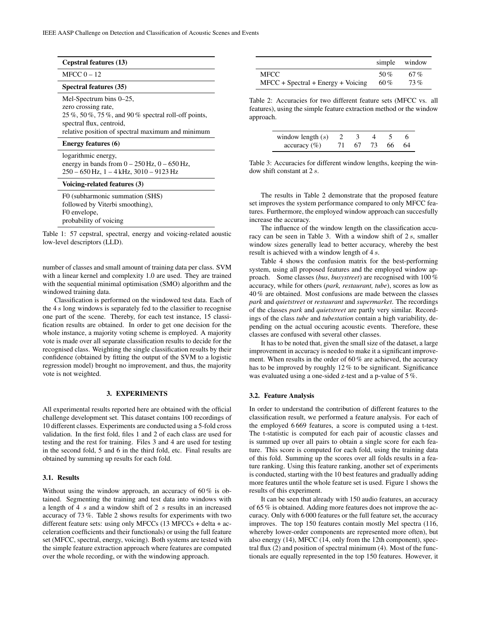| Cepstral features (13)                                                                                                                                                                  |                                                                                                                                                                                          | simple        | window             |  |  |  |
|-----------------------------------------------------------------------------------------------------------------------------------------------------------------------------------------|------------------------------------------------------------------------------------------------------------------------------------------------------------------------------------------|---------------|--------------------|--|--|--|
| MFCC $0 - 12$                                                                                                                                                                           | <b>MFCC</b>                                                                                                                                                                              | $50\%$        | 67%                |  |  |  |
| Spectral features (35)                                                                                                                                                                  | $MFCC + Spectral + Energy + Voicing$                                                                                                                                                     | 60%           | 73%                |  |  |  |
| Mel-Spectrum bins 0–25,<br>zero crossing rate.<br>$25\%$ , 50%, 75%, and 90% spectral roll-off points,<br>spectral flux, centroid,<br>relative position of spectral maximum and minimum | Table 2: Accuracies for two different feature sets (MFCC vs. all<br>features), using the simple feature extraction method or the window<br>approach.<br>3<br>$\mathcal{D}_{\mathcal{L}}$ |               |                    |  |  |  |
| <b>Energy features (6)</b>                                                                                                                                                              | window length $(s)$<br>67<br>71<br>$\arctan(y(\%)$                                                                                                                                       | 4<br>73<br>66 | <sub>6</sub><br>64 |  |  |  |
| logarithmic energy,<br>energy in bands from $0 - 250$ Hz, $0 - 650$ Hz,<br>$250 - 650$ Hz, 1 - 4 kHz, 3010 - 9123 Hz                                                                    | Table 3: Accuracies for different window lengths, keeping the win-<br>dow shift constant at $2s$ .                                                                                       |               |                    |  |  |  |

#### Voicing-related features (3)

F0 (subharmonic summation (SHS) followed by Viterbi smoothing), F0 envelope, probability of voicing

Table 1: 57 cepstral, spectral, energy and voicing-related aoustic low-level descriptors (LLD).

number of classes and small amount of training data per class. SVM with a linear kernel and complexity 1.0 are used. They are trained with the sequential minimal optimisation (SMO) algorithm and the windowed training data.

Classification is performed on the windowed test data. Each of the 4 s long windows is separately fed to the classifier to recognise one part of the scene. Thereby, for each test instance, 15 classification results are obtained. In order to get one decision for the whole instance, a majority voting scheme is employed. A majority vote is made over all separate classification results to decide for the recognised class. Weighting the single classification results by their confidence (obtained by fitting the output of the SVM to a logistic regression model) brought no improvement, and thus, the majority vote is not weighted.

## 3. EXPERIMENTS

All experimental results reported here are obtained with the official challenge development set. This dataset contains 100 recordings of 10 different classes. Experiments are conducted using a 5-fold cross validation. In the first fold, files 1 and 2 of each class are used for testing and the rest for training. Files 3 and 4 are used for testing in the second fold, 5 and 6 in the third fold, etc. Final results are obtained by summing up results for each fold.

#### 3.1. Results

Without using the window approach, an accuracy of 60% is obtained. Segmenting the training and test data into windows with a length of 4 s and a window shift of 2 s results in an increased accuracy of 73 %. Table 2 shows results for experiments with two different feature sets: using only MFCCs  $(13 \text{ MFCCs} + \text{delta} + \text{ac} - \text{delta})$ celeration coefficients and their functionals) or using the full feature set (MFCC, spectral, energy, voicing). Both systems are tested with the simple feature extraction approach where features are computed over the whole recording, or with the windowing approach.

The results in Table 2 demonstrate that the proposed feature

set improves the system performance compared to only MFCC features. Furthermore, the employed window approach can succesfully increase the accuracy.

The influence of the window length on the classification accuracy can be seen in Table 3. With a window shift of  $2s$ , smaller window sizes generally lead to better accuracy, whereby the best result is achieved with a window length of 4 s.

Table 4 shows the confusion matrix for the best-performing system, using all proposed features and the employed window approach. Some classes (*bus*, *busystreet*) are recognised with 100 % accuracy, while for others (*park, restaurant, tube*), scores as low as 40 % are obtained. Most confusions are made between the classes *park* and *quietstreet* or *restaurant* and *supermarket*. The recordings of the classes *park* and *quietstreet* are partly very similar. Recordings of the class *tube* and *tubestation* contain a high variability, depending on the actual occuring acoustic events. Therefore, these classes are confused with several other classes.

It has to be noted that, given the small size of the dataset, a large improvement in accuracy is needed to make it a significant improvement. When results in the order of 60 % are achieved, the accuracy has to be improved by roughly 12 % to be significant. Significance was evaluated using a one-sided z-test and a p-value of 5 %.

# 3.2. Feature Analysis

In order to understand the contribution of different features to the classification result, we performed a feature analysis. For each of the employed 6 669 features, a score is computed using a t-test. The t-statistic is computed for each pair of acoustic classes and is summed up over all pairs to obtain a single score for each feature. This score is computed for each fold, using the training data of this fold. Summing up the scores over all folds results in a feature ranking. Using this feature ranking, another set of experiments is conducted, starting with the 10 best features and gradually adding more features until the whole feature set is used. Figure 1 shows the results of this experiment.

It can be seen that already with 150 audio features, an accuracy of 65 % is obtained. Adding more features does not improve the accuracy. Only with 6 000 features or the full feature set, the accuracy improves. The top 150 features contain mostly Mel spectra (116, whereby lower-order components are represented more often), but also energy (14), MFCC (14, only from the 12th component), spectral flux (2) and position of spectral minimum (4). Most of the functionals are equally represented in the top 150 features. However, it